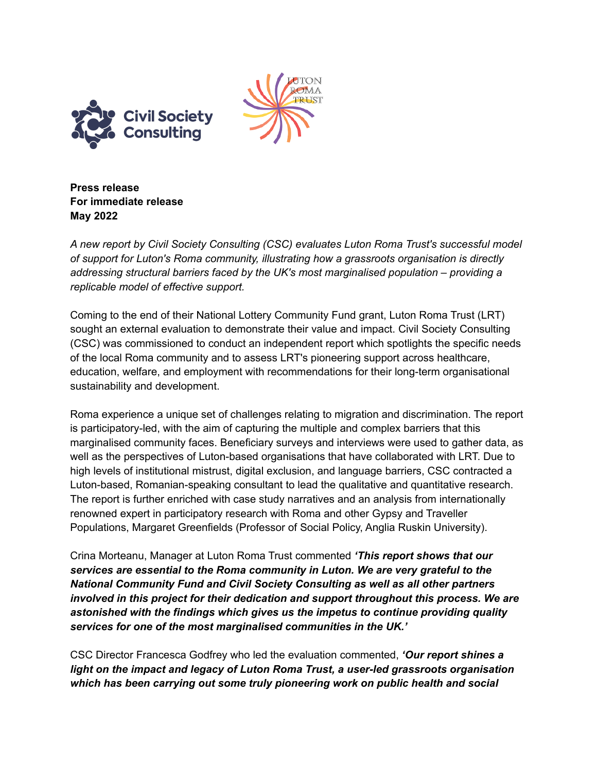



**Press release For immediate release May 2022**

*A new report by Civil Society Consulting (CSC) evaluates Luton Roma Trust's successful model of support for Luton's Roma community, illustrating how a grassroots organisation is directly addressing structural barriers faced by the UK's most marginalised population – providing a replicable model of effective support.*

Coming to the end of their National Lottery Community Fund grant, Luton Roma Trust (LRT) sought an external evaluation to demonstrate their value and impact. Civil Society Consulting (CSC) was commissioned to conduct an independent report which spotlights the specific needs of the local Roma community and to assess LRT's pioneering support across healthcare, education, welfare, and employment with recommendations for their long-term organisational sustainability and development.

Roma experience a unique set of challenges relating to migration and discrimination. The report is participatory-led, with the aim of capturing the multiple and complex barriers that this marginalised community faces. Beneficiary surveys and interviews were used to gather data, as well as the perspectives of Luton-based organisations that have collaborated with LRT. Due to high levels of institutional mistrust, digital exclusion, and language barriers, CSC contracted a Luton-based, Romanian-speaking consultant to lead the qualitative and quantitative research. The report is further enriched with case study narratives and an analysis from internationally renowned expert in participatory research with Roma and other Gypsy and Traveller Populations, Margaret Greenfields (Professor of Social Policy, Anglia Ruskin University).

Crina Morteanu, Manager at Luton Roma Trust commented *'This report shows that our services are essential to the Roma community in Luton. We are very grateful to the National Community Fund and Civil Society Consulting as well as all other partners involved in this project for their dedication and support throughout this process. We are astonished with the findings which gives us the impetus to continue providing quality services for one of the most marginalised communities in the UK.'*

CSC Director Francesca Godfrey who led the evaluation commented, *'Our report shines a light on the impact and legacy of Luton Roma Trust, a user-led grassroots organisation which has been carrying out some truly pioneering work on public health and social*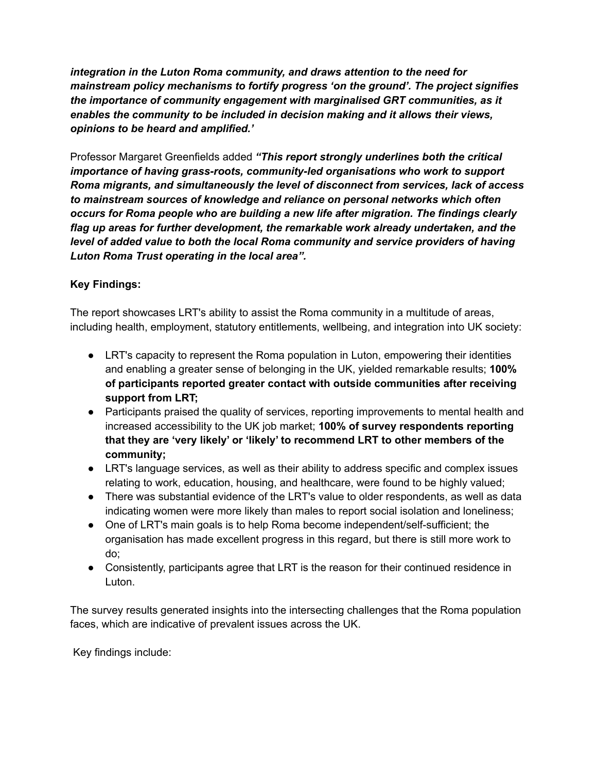*integration in the Luton Roma community, and draws attention to the need for mainstream policy mechanisms to fortify progress 'on the ground'. The project signifies the importance of community engagement with marginalised GRT communities, as it enables the community to be included in decision making and it allows their views, opinions to be heard and amplified.'*

Professor Margaret Greenfields added *"This report strongly underlines both the critical importance of having grass-roots, community-led organisations who work to support Roma migrants, and simultaneously the level of disconnect from services, lack of access to mainstream sources of knowledge and reliance on personal networks which often occurs for Roma people who are building a new life after migration. The findings clearly flag up areas for further development, the remarkable work already undertaken, and the level of added value to both the local Roma community and service providers of having Luton Roma Trust operating in the local area".*

## **Key Findings:**

The report showcases LRT's ability to assist the Roma community in a multitude of areas, including health, employment, statutory entitlements, wellbeing, and integration into UK society:

- LRT's capacity to represent the Roma population in Luton, empowering their identities and enabling a greater sense of belonging in the UK, yielded remarkable results; **100% of participants reported greater contact with outside communities after receiving support from LRT;**
- Participants praised the quality of services, reporting improvements to mental health and increased accessibility to the UK job market; **100% of survey respondents reporting that they are 'very likely' or 'likely' to recommend LRT to other members of the community;**
- LRT's language services, as well as their ability to address specific and complex issues relating to work, education, housing, and healthcare, were found to be highly valued;
- There was substantial evidence of the LRT's value to older respondents, as well as data indicating women were more likely than males to report social isolation and loneliness;
- One of LRT's main goals is to help Roma become independent/self-sufficient; the organisation has made excellent progress in this regard, but there is still more work to do;
- Consistently, participants agree that LRT is the reason for their continued residence in Luton.

The survey results generated insights into the intersecting challenges that the Roma population faces, which are indicative of prevalent issues across the UK.

Key findings include: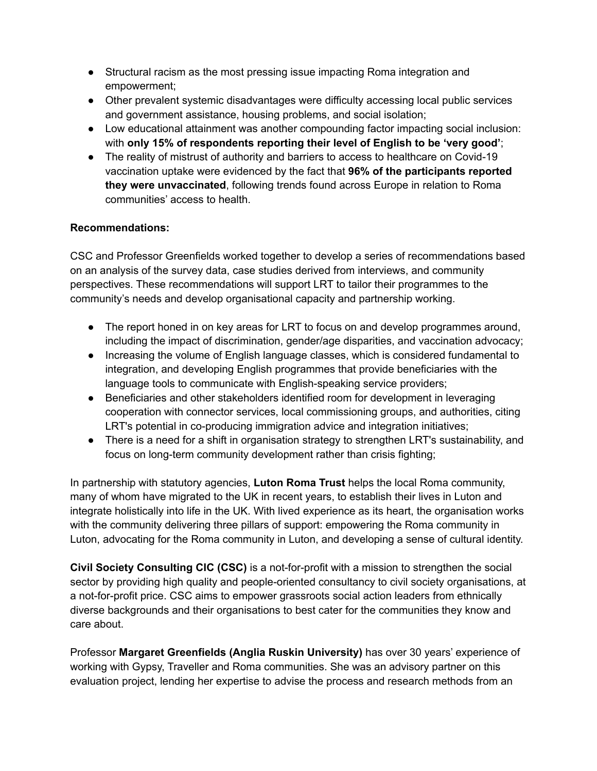- Structural racism as the most pressing issue impacting Roma integration and empowerment;
- Other prevalent systemic disadvantages were difficulty accessing local public services and government assistance, housing problems, and social isolation;
- Low educational attainment was another compounding factor impacting social inclusion: with **only 15% of respondents reporting their level of English to be 'very good'**;
- The reality of mistrust of authority and barriers to access to healthcare on Covid-19 vaccination uptake were evidenced by the fact that **96% of the participants reported they were unvaccinated**, following trends found across Europe in relation to Roma communities' access to health.

## **Recommendations:**

CSC and Professor Greenfields worked together to develop a series of recommendations based on an analysis of the survey data, case studies derived from interviews, and community perspectives. These recommendations will support LRT to tailor their programmes to the community's needs and develop organisational capacity and partnership working.

- The report honed in on key areas for LRT to focus on and develop programmes around, including the impact of discrimination, gender/age disparities, and vaccination advocacy;
- Increasing the volume of English language classes, which is considered fundamental to integration, and developing English programmes that provide beneficiaries with the language tools to communicate with English-speaking service providers;
- Beneficiaries and other stakeholders identified room for development in leveraging cooperation with connector services, local commissioning groups, and authorities, citing LRT's potential in co-producing immigration advice and integration initiatives;
- There is a need for a shift in organisation strategy to strengthen LRT's sustainability, and focus on long-term community development rather than crisis fighting;

In partnership with statutory agencies, **Luton Roma Trust** helps the local Roma community, many of whom have migrated to the UK in recent years, to establish their lives in Luton and integrate holistically into life in the UK. With lived experience as its heart, the organisation works with the community delivering three pillars of support: empowering the Roma community in Luton, advocating for the Roma community in Luton, and developing a sense of cultural identity.

**Civil Society Consulting CIC (CSC)** is a not-for-profit with a mission to strengthen the social sector by providing high quality and people-oriented consultancy to civil society organisations, at a not-for-profit price. CSC aims to empower grassroots social action leaders from ethnically diverse backgrounds and their organisations to best cater for the communities they know and care about.

Professor **Margaret Greenfields (Anglia Ruskin University)** has over 30 years' experience of working with Gypsy, Traveller and Roma communities. She was an advisory partner on this evaluation project, lending her expertise to advise the process and research methods from an